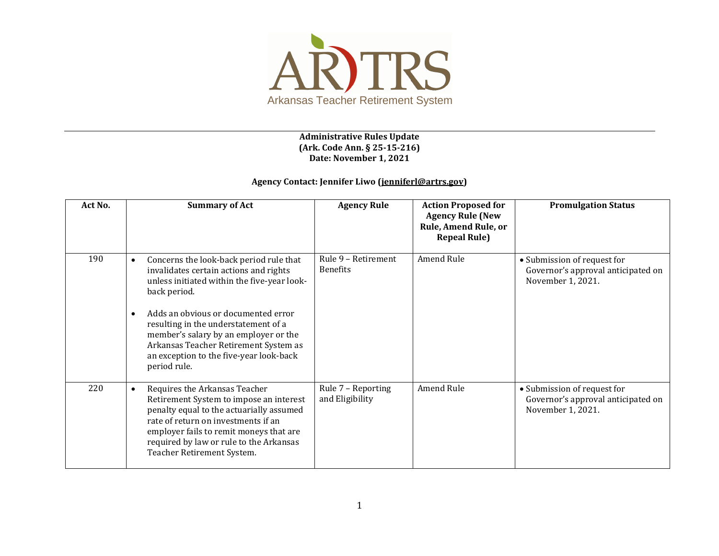

## **Administrative Rules Update (Ark. Code Ann. § 25-15-216) Date: November 1, 2021**

## **Agency Contact: Jennifer Liwo [\(jenniferl@artrs.gov\)](mailto:jenniferl@artrs.gov)**

| Act No. | <b>Summary of Act</b>                                                                                                                                                                                                                                                                                                                                                                                  | <b>Agency Rule</b>                     | <b>Action Proposed for</b><br><b>Agency Rule (New</b><br>Rule, Amend Rule, or<br><b>Repeal Rule)</b> | <b>Promulgation Status</b>                                                             |
|---------|--------------------------------------------------------------------------------------------------------------------------------------------------------------------------------------------------------------------------------------------------------------------------------------------------------------------------------------------------------------------------------------------------------|----------------------------------------|------------------------------------------------------------------------------------------------------|----------------------------------------------------------------------------------------|
| 190     | Concerns the look-back period rule that<br>$\bullet$<br>invalidates certain actions and rights<br>unless initiated within the five-year look-<br>back period.<br>Adds an obvious or documented error<br>$\bullet$<br>resulting in the understatement of a<br>member's salary by an employer or the<br>Arkansas Teacher Retirement System as<br>an exception to the five-year look-back<br>period rule. | Rule 9 - Retirement<br><b>Benefits</b> | Amend Rule                                                                                           | • Submission of request for<br>Governor's approval anticipated on<br>November 1, 2021. |
| 220     | Requires the Arkansas Teacher<br>$\bullet$<br>Retirement System to impose an interest<br>penalty equal to the actuarially assumed<br>rate of return on investments if an<br>employer fails to remit moneys that are<br>required by law or rule to the Arkansas<br>Teacher Retirement System.                                                                                                           | Rule 7 - Reporting<br>and Eligibility  | Amend Rule                                                                                           | • Submission of request for<br>Governor's approval anticipated on<br>November 1, 2021. |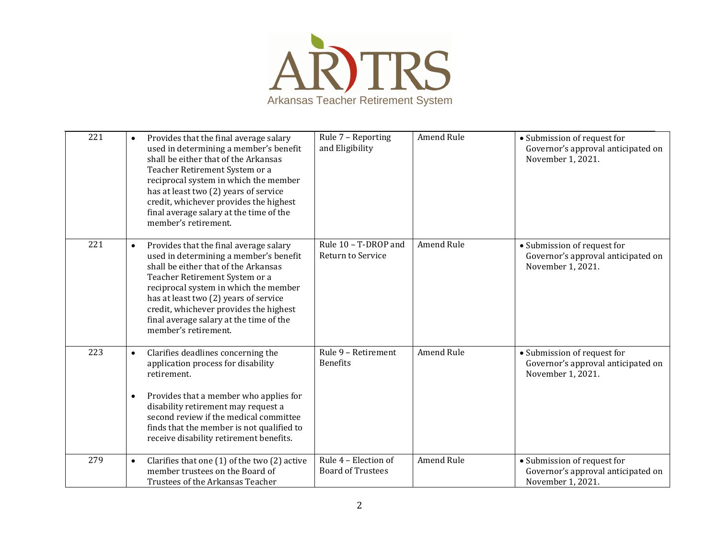

| 221 | Provides that the final average salary<br>$\bullet$<br>used in determining a member's benefit<br>shall be either that of the Arkansas<br>Teacher Retirement System or a<br>reciprocal system in which the member<br>has at least two (2) years of service<br>credit, whichever provides the highest<br>final average salary at the time of the<br>member's retirement. | Rule 7 - Reporting<br>and Eligibility            | Amend Rule        | • Submission of request for<br>Governor's approval anticipated on<br>November 1, 2021. |
|-----|------------------------------------------------------------------------------------------------------------------------------------------------------------------------------------------------------------------------------------------------------------------------------------------------------------------------------------------------------------------------|--------------------------------------------------|-------------------|----------------------------------------------------------------------------------------|
| 221 | Provides that the final average salary<br>$\bullet$<br>used in determining a member's benefit<br>shall be either that of the Arkansas<br>Teacher Retirement System or a<br>reciprocal system in which the member<br>has at least two (2) years of service<br>credit, whichever provides the highest<br>final average salary at the time of the<br>member's retirement. | Rule 10 - T-DROP and<br>Return to Service        | <b>Amend Rule</b> | • Submission of request for<br>Governor's approval anticipated on<br>November 1, 2021. |
| 223 | Clarifies deadlines concerning the<br>$\bullet$<br>application process for disability<br>retirement.<br>Provides that a member who applies for<br>$\bullet$<br>disability retirement may request a<br>second review if the medical committee<br>finds that the member is not qualified to<br>receive disability retirement benefits.                                   | Rule 9 - Retirement<br><b>Benefits</b>           | Amend Rule        | • Submission of request for<br>Governor's approval anticipated on<br>November 1, 2021. |
| 279 | Clarifies that one (1) of the two (2) active<br>$\bullet$<br>member trustees on the Board of<br>Trustees of the Arkansas Teacher                                                                                                                                                                                                                                       | Rule 4 - Election of<br><b>Board of Trustees</b> | Amend Rule        | • Submission of request for<br>Governor's approval anticipated on<br>November 1, 2021. |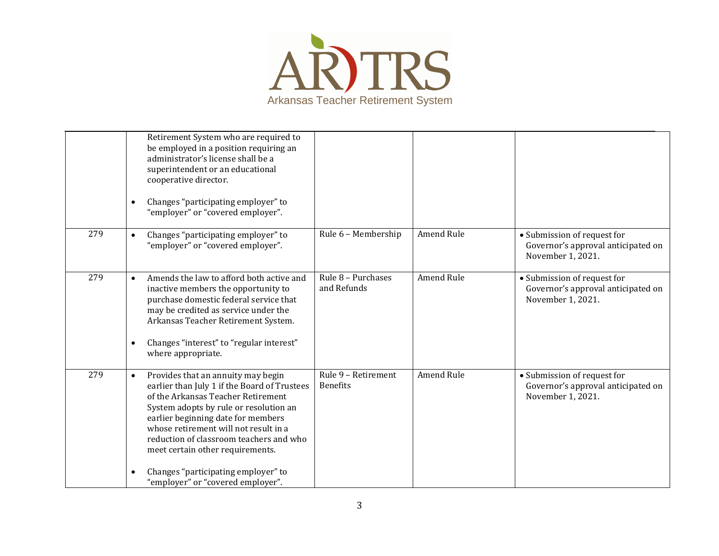

|     | Retirement System who are required to<br>be employed in a position requiring an<br>administrator's license shall be a<br>superintendent or an educational<br>cooperative director.<br>Changes "participating employer" to<br>$\bullet$<br>"employer" or "covered employer".                                                                                                                                                            |                                        |            |                                                                                        |
|-----|----------------------------------------------------------------------------------------------------------------------------------------------------------------------------------------------------------------------------------------------------------------------------------------------------------------------------------------------------------------------------------------------------------------------------------------|----------------------------------------|------------|----------------------------------------------------------------------------------------|
| 279 | Changes "participating employer" to<br>$\bullet$<br>"employer" or "covered employer".                                                                                                                                                                                                                                                                                                                                                  | Rule 6 - Membership                    | Amend Rule | • Submission of request for<br>Governor's approval anticipated on<br>November 1, 2021. |
| 279 | Amends the law to afford both active and<br>$\bullet$<br>inactive members the opportunity to<br>purchase domestic federal service that<br>may be credited as service under the<br>Arkansas Teacher Retirement System.<br>Changes "interest" to "regular interest"<br>$\bullet$<br>where appropriate.                                                                                                                                   | Rule $8$ – Purchases<br>and Refunds    | Amend Rule | • Submission of request for<br>Governor's approval anticipated on<br>November 1, 2021. |
| 279 | Provides that an annuity may begin<br>$\bullet$<br>earlier than July 1 if the Board of Trustees<br>of the Arkansas Teacher Retirement<br>System adopts by rule or resolution an<br>earlier beginning date for members<br>whose retirement will not result in a<br>reduction of classroom teachers and who<br>meet certain other requirements.<br>Changes "participating employer" to<br>$\bullet$<br>"employer" or "covered employer". | Rule 9 - Retirement<br><b>Benefits</b> | Amend Rule | • Submission of request for<br>Governor's approval anticipated on<br>November 1, 2021. |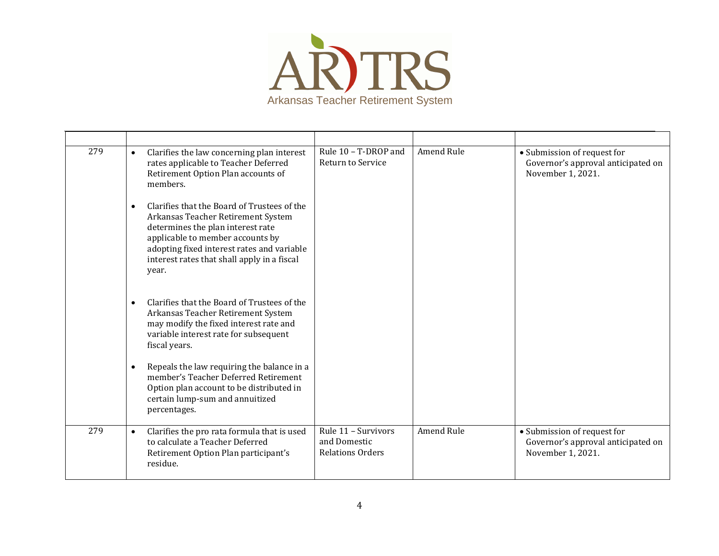

| 279 | Clarifies the law concerning plan interest<br>$\bullet$<br>rates applicable to Teacher Deferred<br>Retirement Option Plan accounts of<br>members.                                                                                                                             | Rule 10 - T-DROP and<br>Return to Service                      | Amend Rule        | • Submission of request for<br>Governor's approval anticipated on<br>November 1, 2021. |
|-----|-------------------------------------------------------------------------------------------------------------------------------------------------------------------------------------------------------------------------------------------------------------------------------|----------------------------------------------------------------|-------------------|----------------------------------------------------------------------------------------|
|     | Clarifies that the Board of Trustees of the<br>$\bullet$<br>Arkansas Teacher Retirement System<br>determines the plan interest rate<br>applicable to member accounts by<br>adopting fixed interest rates and variable<br>interest rates that shall apply in a fiscal<br>year. |                                                                |                   |                                                                                        |
|     | Clarifies that the Board of Trustees of the<br>$\bullet$<br>Arkansas Teacher Retirement System<br>may modify the fixed interest rate and<br>variable interest rate for subsequent<br>fiscal years.                                                                            |                                                                |                   |                                                                                        |
|     | Repeals the law requiring the balance in a<br>$\bullet$<br>member's Teacher Deferred Retirement<br>Option plan account to be distributed in<br>certain lump-sum and annuitized<br>percentages.                                                                                |                                                                |                   |                                                                                        |
| 279 | Clarifies the pro rata formula that is used<br>$\bullet$<br>to calculate a Teacher Deferred<br>Retirement Option Plan participant's<br>residue.                                                                                                                               | Rule 11 - Survivors<br>and Domestic<br><b>Relations Orders</b> | <b>Amend Rule</b> | • Submission of request for<br>Governor's approval anticipated on<br>November 1, 2021. |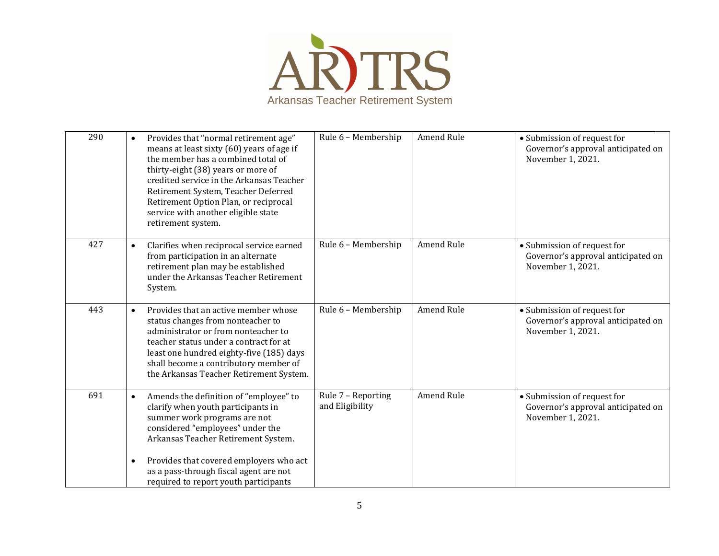

| 290 | $\bullet$              | Provides that "normal retirement age"<br>means at least sixty (60) years of age if<br>the member has a combined total of<br>thirty-eight (38) years or more of<br>credited service in the Arkansas Teacher<br>Retirement System, Teacher Deferred<br>Retirement Option Plan, or reciprocal<br>service with another eligible state<br>retirement system. | Rule 6 - Membership                   | Amend Rule        | • Submission of request for<br>Governor's approval anticipated on<br>November 1, 2021. |
|-----|------------------------|---------------------------------------------------------------------------------------------------------------------------------------------------------------------------------------------------------------------------------------------------------------------------------------------------------------------------------------------------------|---------------------------------------|-------------------|----------------------------------------------------------------------------------------|
| 427 | $\bullet$              | Clarifies when reciprocal service earned<br>from participation in an alternate<br>retirement plan may be established<br>under the Arkansas Teacher Retirement<br>System.                                                                                                                                                                                | Rule 6 - Membership                   | <b>Amend Rule</b> | • Submission of request for<br>Governor's approval anticipated on<br>November 1, 2021. |
| 443 | $\bullet$              | Provides that an active member whose<br>status changes from nonteacher to<br>administrator or from nonteacher to<br>teacher status under a contract for at<br>least one hundred eighty-five (185) days<br>shall become a contributory member of<br>the Arkansas Teacher Retirement System.                                                              | Rule 6 - Membership                   | Amend Rule        | • Submission of request for<br>Governor's approval anticipated on<br>November 1, 2021. |
| 691 | $\bullet$<br>$\bullet$ | Amends the definition of "employee" to<br>clarify when youth participants in<br>summer work programs are not<br>considered "employees" under the<br>Arkansas Teacher Retirement System.<br>Provides that covered employers who act                                                                                                                      | Rule 7 - Reporting<br>and Eligibility | <b>Amend Rule</b> | • Submission of request for<br>Governor's approval anticipated on<br>November 1, 2021. |
|     |                        | as a pass-through fiscal agent are not<br>required to report youth participants                                                                                                                                                                                                                                                                         |                                       |                   |                                                                                        |